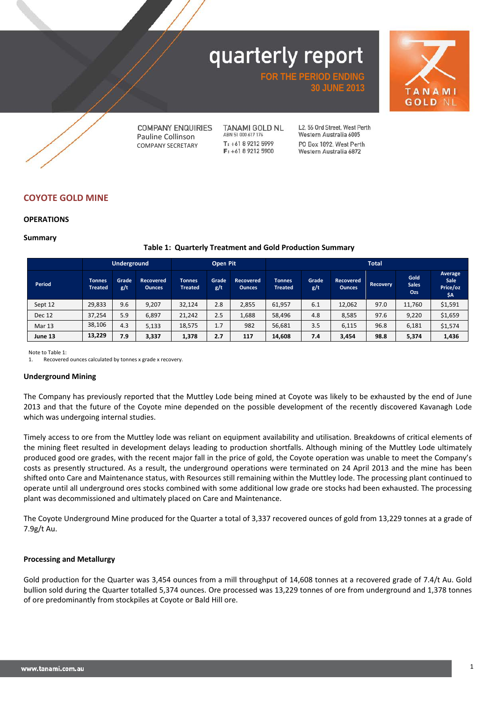**FOR THE PERIOD ENDING**

**TANAMI GOLD NL** 



**COMPANY ENQUIRIES** Pauline Collinson COMPANY SECRETARY

**TANAMI GOLD NL** ABN 51 000 617 176  $T_1 + 61892125999$ F: +61 8 9212 5900

12.56 Ord Street, West Perth Western Australia 6005 PO Box 1892 West Perth Western Australia 6872

**30 JUNE 2013**

### **COYOTE GOLD MINE**

#### **OPERATIONS**

#### **Summary**

#### **Table 1: Quarterly Treatment and Gold Production Summary**

|               | <b>Underground</b>              |              |                                   |                                 | Open Pit     |                                   | <b>Total</b>                    |              |                            |                 |                                    |                                    |
|---------------|---------------------------------|--------------|-----------------------------------|---------------------------------|--------------|-----------------------------------|---------------------------------|--------------|----------------------------|-----------------|------------------------------------|------------------------------------|
| Period        | <b>Tonnes</b><br><b>Treated</b> | Grade<br>g/t | <b>Recovered</b><br><b>Ounces</b> | <b>Tonnes</b><br><b>Treated</b> | Grade<br>g/t | <b>Recovered</b><br><b>Ounces</b> | <b>Tonnes</b><br><b>Treated</b> | Grade<br>g/t | Recovered<br><b>Ounces</b> | <b>Recovery</b> | Gold<br><b>Sales</b><br><b>Ozs</b> | Average<br>Sale<br>Price/oz<br>\$A |
| Sept 12       | 29,833                          | 9.6          | 9.207                             | 32,124                          | 2.8          | 2,855                             | 61,957                          | 6.1          | 12.062                     | 97.0            | 11,760                             | \$1,591                            |
| <b>Dec 12</b> | 37,254                          | 5.9          | 6,897                             | 21,242                          | 2.5          | 1,688                             | 58,496                          | 4.8          | 8,585                      | 97.6            | 9,220                              | \$1,659                            |
| Mar 13        | 38,106                          | 4.3          | 5,133                             | 18,575                          | 1.7          | 982                               | 56,681                          | 3.5          | 6,115                      | 96.8            | 6,181                              | \$1,574                            |
| June 13       | 13,229                          | 7.9          | 3,337                             | 1,378                           | 2.7          | 117                               | 14,608                          | 7.4          | 3,454                      | 98.8            | 5,374                              | 1,436                              |

Note to Table 1:<br>1. Recovered

Recovered ounces calculated by tonnes x grade x recovery.

#### **Underground Mining**

The Company has previously reported that the Muttley Lode being mined at Coyote was likely to be exhausted by the end of June 2013 and that the future of the Coyote mine depended on the possible development of the recently discovered Kavanagh Lode which was undergoing internal studies.

Timely access to ore from the Muttley lode was reliant on equipment availability and utilisation. Breakdowns of critical elements of the mining fleet resulted in development delays leading to production shortfalls. Although mining of the Muttley Lode ultimately produced good ore grades, with the recent major fall in the price of gold, the Coyote operation was unable to meet the Company's costs as presently structured. As a result, the underground operations were terminated on 24 April 2013 and the mine has been shifted onto Care and Maintenance status, with Resources still remaining within the Muttley lode. The processing plant continued to operate until all underground ores stocks combined with some additional low grade ore stocks had been exhausted. The processing plant was decommissioned and ultimately placed on Care and Maintenance.

The Coyote Underground Mine produced for the Quarter a total of 3,337 recovered ounces of gold from 13,229 tonnes at a grade of 7.9g/t Au.

#### **Processing and Metallurgy**

Gold production for the Quarter was 3,454 ounces from a mill throughput of 14,608 tonnes at a recovered grade of 7.4/t Au. Gold bullion sold during the Quarter totalled 5,374 ounces. Ore processed was 13,229 tonnes of ore from underground and 1,378 tonnes of ore predominantly from stockpiles at Coyote or Bald Hill ore.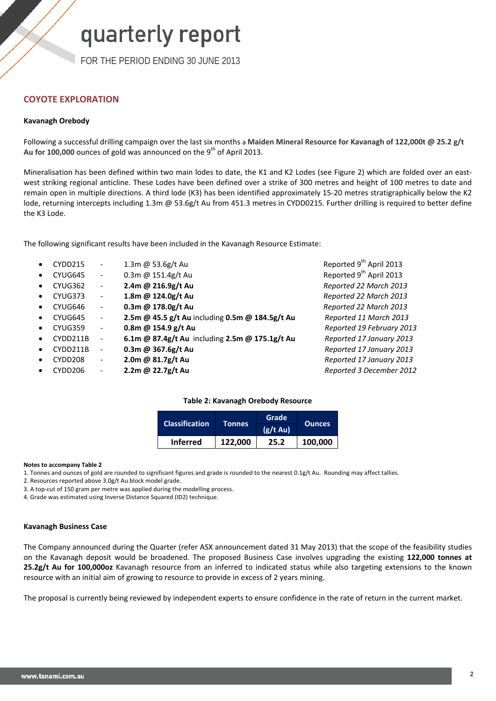FOR THE PERIOD ENDING 30 JUNE 2013

### **COYOTE EXPLORATION**

#### **Kavanagh Orebody**

Following a successful drilling campaign over the last six months a **Maiden Mineral Resource for Kavanagh of 122,000t @ 25.2 g/t**  Au for 100,000 ounces of gold was announced on the 9<sup>th</sup> of April 2013.

Mineralisation has been defined within two main lodes to date, the K1 and K2 Lodes (see Figure 2) which are folded over an eastwest striking regional anticline. These Lodes have been defined over a strike of 300 metres and height of 100 metres to date and remain open in multiple directions. A third lode (K3) has been identified approximately 15-20 metres stratigraphically below the K2 lode, returning intercepts including 1.3m @ 53.6g/t Au from 451.3 metres in CYDD0215. Further drilling is required to better define the K3 Lode.

The following significant results have been included in the Kavanagh Resource Estimate:

|           | CYDD215  | $\overline{\phantom{a}}$ | 1.3m @ 53.6g/t Au                               | Reported 9 <sup>th</sup> April 2013 |
|-----------|----------|--------------------------|-------------------------------------------------|-------------------------------------|
| $\bullet$ | CYUG645  | $\overline{\phantom{a}}$ | 0.3m @ 151.4g/t Au                              | Reported 9 <sup>th</sup> April 2013 |
| $\bullet$ | CYUG362  | $\overline{\phantom{a}}$ | 2.4m @ 216.9g/t Au                              | Reported 22 March 2013              |
|           | CYUG373  | $\overline{\phantom{a}}$ | 1.8m @ 124.0g/t Au                              | Reported 22 March 2013              |
|           | CYUG646  | $\overline{\phantom{a}}$ | 0.3m @ 178.0g/t Au                              | Reported 22 March 2013              |
| $\bullet$ | CYUG645  | $\overline{\phantom{a}}$ | 2.5m @ 45.5 g/t Au including 0.5m @ 184.5g/t Au | Reported 11 March 2013              |
| $\bullet$ | CYUG359  | $\overline{\phantom{a}}$ | 0.8m @ 154.9 g/t Au                             | Reported 19 February 2013           |
|           | CYDD211B | $\overline{\phantom{a}}$ | 6.1m @ 87.4g/t Au including 2.5m @ 175.1g/t Au  | Reported 17 January 2013            |
| $\bullet$ | CYDD211B | $\overline{\phantom{a}}$ | 0.3m @ 367.6g/t Au                              | Reported 17 January 2013            |
|           | CYDD208  | $\overline{\phantom{a}}$ | 2.0m @ 81.7g/t Au                               | Reported 17 January 2013            |
|           | CYDD206  | $\overline{\phantom{a}}$ | 2.2m @ 22.7g/t Au                               | Reported 3 December 2012            |
|           |          |                          |                                                 |                                     |

#### **Table 2: Kavanagh Orebody Resource**

| <b>Classification</b> | Tonnes  | Grade         |               |  |
|-----------------------|---------|---------------|---------------|--|
|                       |         | $(g/t \, Au)$ | <b>Ounces</b> |  |
| <b>Inferred</b>       | 122,000 | 25.2          | 100,000       |  |

**Notes to accompany Table 2**

1. Tonnes and ounces of gold are rounded to significant figures and grade is rounded to the nearest 0.1g/t Au. Rounding may affect tallies.

2. Resources reported above 3.0g/t Au block model grade.

3. A top-cut of 150 gram per metre was applied during the modelling process.

4. Grade was estimated using Inverse Distance Squared (ID2) technique.

#### **Kavanagh Business Case**

The Company announced during the Quarter (refer ASX announcement dated 31 May 2013) that the scope of the feasibility studies on the Kavanagh deposit would be broadened. The proposed Business Case involves upgrading the existing **122,000 tonnes at 25.2g/t Au for 100,000oz** Kavanagh resource from an inferred to indicated status while also targeting extensions to the known resource with an initial aim of growing to resource to provide in excess of 2 years mining.

The proposal is currently being reviewed by independent experts to ensure confidence in the rate of return in the current market.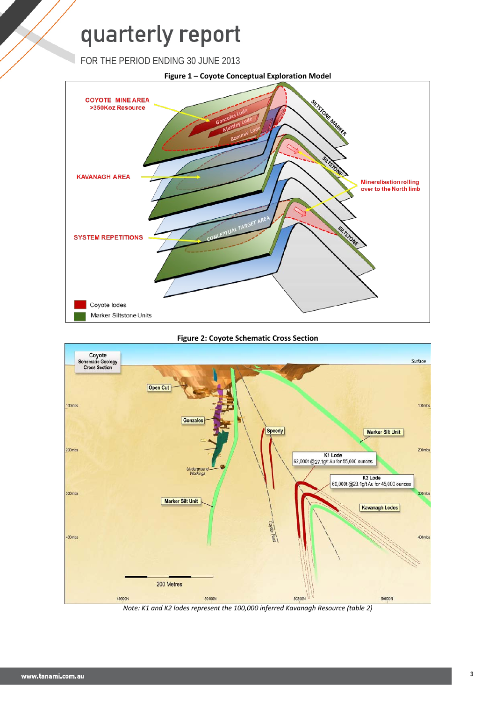FOR THE PERIOD ENDING 30 JUNE 2013



#### **Figure 2: Coyote Schematic Cross Section**



*Note: K1 and K2 lodes represent the 100,000 inferred Kavanagh Resource (table 2)*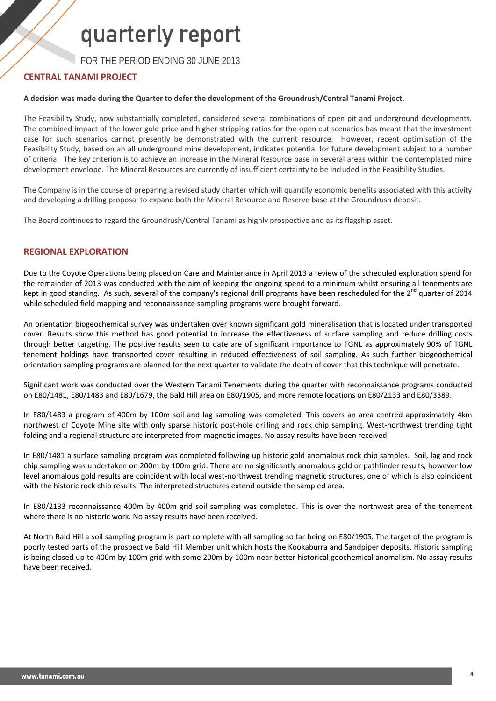FOR THE PERIOD ENDING 30 JUNE 2013

#### **CENTRAL TANAMI PROJECT**

#### **A decision was made during the Quarter to defer the development of the Groundrush/Central Tanami Project.**

The Feasibility Study, now substantially completed, considered several combinations of open pit and underground developments. The combined impact of the lower gold price and higher stripping ratios for the open cut scenarios has meant that the investment case for such scenarios cannot presently be demonstrated with the current resource. However, recent optimisation of the Feasibility Study, based on an all underground mine development, indicates potential for future development subject to a number of criteria. The key criterion is to achieve an increase in the Mineral Resource base in several areas within the contemplated mine development envelope. The Mineral Resources are currently of insufficient certainty to be included in the Feasibility Studies.

The Company is in the course of preparing a revised study charter which will quantify economic benefits associated with this activity and developing a drilling proposal to expand both the Mineral Resource and Reserve base at the Groundrush deposit.

The Board continues to regard the Groundrush/Central Tanami as highly prospective and as its flagship asset.

#### **REGIONAL EXPLORATION**

Due to the Coyote Operations being placed on Care and Maintenance in April 2013 a review of the scheduled exploration spend for the remainder of 2013 was conducted with the aim of keeping the ongoing spend to a minimum whilst ensuring all tenements are kept in good standing. As such, several of the company's regional drill programs have been rescheduled for the  $2^{nd}$  quarter of 2014 while scheduled field mapping and reconnaissance sampling programs were brought forward.

An orientation biogeochemical survey was undertaken over known significant gold mineralisation that is located under transported cover. Results show this method has good potential to increase the effectiveness of surface sampling and reduce drilling costs through better targeting. The positive results seen to date are of significant importance to TGNL as approximately 90% of TGNL tenement holdings have transported cover resulting in reduced effectiveness of soil sampling. As such further biogeochemical orientation sampling programs are planned for the next quarter to validate the depth of cover that this technique will penetrate.

Significant work was conducted over the Western Tanami Tenements during the quarter with reconnaissance programs conducted on E80/1481, E80/1483 and E80/1679, the Bald Hill area on E80/1905, and more remote locations on E80/2133 and E80/3389.

In E80/1483 a program of 400m by 100m soil and lag sampling was completed. This covers an area centred approximately 4km northwest of Coyote Mine site with only sparse historic post-hole drilling and rock chip sampling. West-northwest trending tight folding and a regional structure are interpreted from magnetic images. No assay results have been received.

In E80/1481 a surface sampling program was completed following up historic gold anomalous rock chip samples. Soil, lag and rock chip sampling was undertaken on 200m by 100m grid. There are no significantly anomalous gold or pathfinder results, however low level anomalous gold results are coincident with local west-northwest trending magnetic structures, one of which is also coincident with the historic rock chip results. The interpreted structures extend outside the sampled area.

In E80/2133 reconnaissance 400m by 400m grid soil sampling was completed. This is over the northwest area of the tenement where there is no historic work. No assay results have been received.

At North Bald Hill a soil sampling program is part complete with all sampling so far being on E80/1905. The target of the program is poorly tested parts of the prospective Bald Hill Member unit which hosts the Kookaburra and Sandpiper deposits. Historic sampling is being closed up to 400m by 100m grid with some 200m by 100m near better historical geochemical anomalism. No assay results have been received.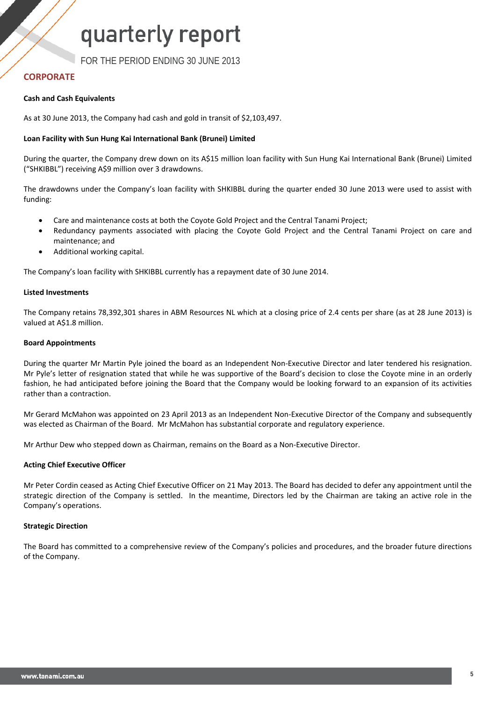FOR THE PERIOD ENDING 30 JUNE 2013

#### **CORPORATE**

#### **Cash and Cash Equivalents**

As at 30 June 2013, the Company had cash and gold in transit of \$2,103,497.

#### **Loan Facility with Sun Hung Kai International Bank (Brunei) Limited**

During the quarter, the Company drew down on its A\$15 million loan facility with Sun Hung Kai International Bank (Brunei) Limited ("SHKIBBL") receiving A\$9 million over 3 drawdowns.

The drawdowns under the Company's loan facility with SHKIBBL during the quarter ended 30 June 2013 were used to assist with funding:

- Care and maintenance costs at both the Coyote Gold Project and the Central Tanami Project;
- Redundancy payments associated with placing the Coyote Gold Project and the Central Tanami Project on care and maintenance; and
- Additional working capital.

The Company's loan facility with SHKIBBL currently has a repayment date of 30 June 2014.

#### **Listed Investments**

The Company retains 78,392,301 shares in ABM Resources NL which at a closing price of 2.4 cents per share (as at 28 June 2013) is valued at A\$1.8 million.

#### **Board Appointments**

During the quarter Mr Martin Pyle joined the board as an Independent Non-Executive Director and later tendered his resignation. Mr Pyle's letter of resignation stated that while he was supportive of the Board's decision to close the Coyote mine in an orderly fashion, he had anticipated before joining the Board that the Company would be looking forward to an expansion of its activities rather than a contraction.

Mr Gerard McMahon was appointed on 23 April 2013 as an Independent Non-Executive Director of the Company and subsequently was elected as Chairman of the Board. Mr McMahon has substantial corporate and regulatory experience.

Mr Arthur Dew who stepped down as Chairman, remains on the Board as a Non-Executive Director.

#### **Acting Chief Executive Officer**

Mr Peter Cordin ceased as Acting Chief Executive Officer on 21 May 2013. The Board has decided to defer any appointment until the strategic direction of the Company is settled. In the meantime, Directors led by the Chairman are taking an active role in the Company's operations.

#### **Strategic Direction**

The Board has committed to a comprehensive review of the Company's policies and procedures, and the broader future directions of the Company.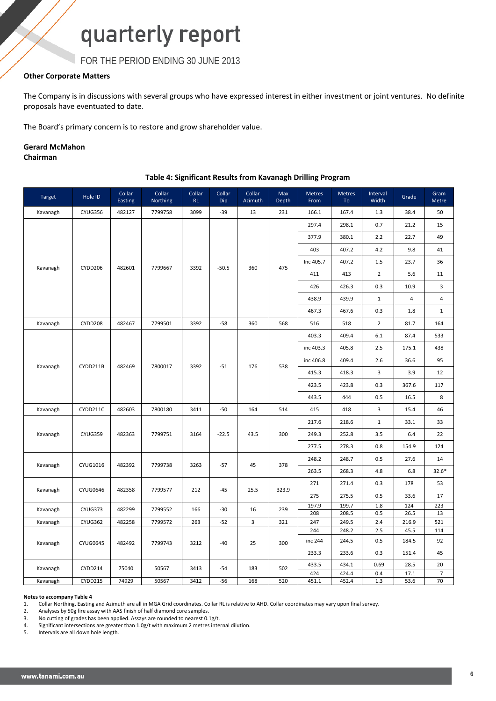FOR THE PERIOD ENDING 30 JUNE 2013

#### **Other Corporate Matters**

The Company is in discussions with several groups who have expressed interest in either investment or joint ventures. No definite proposals have eventuated to date.

The Board's primary concern is to restore and grow shareholder value.

### **Gerard McMahon**

**Chairman**

#### **Table 4: Significant Results from Kavanagh Drilling Program**

| Target   | Hole ID         | Collar<br>Easting | Collar<br>Northing | Collar<br>RL | Collar<br>Dip | Collar<br>Azimuth | Max<br>Depth | <b>Metres</b><br>From | <b>Metres</b><br>To | Interval<br>Width | Grade         | Gram<br>Metre  |
|----------|-----------------|-------------------|--------------------|--------------|---------------|-------------------|--------------|-----------------------|---------------------|-------------------|---------------|----------------|
| Kavanagh | CYUG356         | 482127            | 7799758            | 3099         | $-39$         | 13                | 231          | 166.1                 | 167.4               | 1.3               | 38.4          | 50             |
|          |                 |                   |                    |              |               |                   |              | 297.4                 | 298.1               | 0.7               | 21.2          | 15             |
|          |                 |                   |                    |              |               |                   |              | 377.9                 | 380.1               | 2.2               | 22.7          | 49             |
|          |                 |                   |                    |              |               |                   |              | 403                   | 407.2               | 4.2               | 9.8           | 41             |
|          |                 |                   |                    |              |               |                   |              | Inc 405.7             | 407.2               | 1.5               | 23.7          | 36             |
| Kavanagh | CYDD206         | 482601            | 7799667            | 3392         | $-50.5$       | 360               | 475          | 411                   | 413                 | $\overline{2}$    | 5.6           | 11             |
|          |                 |                   |                    |              |               |                   |              | 426                   | 426.3               | 0.3               | 10.9          | 3              |
|          |                 |                   |                    |              |               |                   |              | 438.9                 | 439.9               | $\mathbf{1}$      | 4             | 4              |
|          |                 |                   |                    |              |               |                   |              | 467.3                 | 467.6               | 0.3               | 1.8           | $\mathbf{1}$   |
| Kavanagh | CYDD208         | 482467            | 7799501            | 3392         | $-58$         | 360               | 568          | 516                   | 518                 | $\overline{2}$    | 81.7          | 164            |
|          |                 |                   |                    |              |               |                   |              | 403.3                 | 409.4               | 6.1               | 87.4          | 533            |
|          |                 |                   | 7800017            | 3392         | $-51$         |                   |              | inc 403.3             | 405.8               | 2.5               | 175.1         | 438            |
|          |                 |                   |                    |              |               | 176               |              | inc 406.8             | 409.4               | 2.6               | 36.6          | 95             |
| Kavanagh | CYDD211B        | 482469            |                    |              |               |                   | 538          | 415.3                 | 418.3               | 3                 | 3.9           | 12             |
|          |                 |                   |                    |              |               |                   |              | 423.5                 | 423.8               | 0.3               | 367.6         | 117            |
|          |                 |                   |                    |              |               |                   |              | 443.5                 | 444                 | 0.5               | 16.5          | 8              |
| Kavanagh | CYDD211C        | 482603            | 7800180            | 3411         | $-50$         | 164               | 514          | 415                   | 418                 | 3                 | 15.4          | 46             |
|          | CYUG359         | 482363            |                    |              |               | 43.5              |              | 217.6                 | 218.6               | $\mathbf{1}$      | 33.1          | 33             |
| Kavanagh |                 |                   | 7799751            | 3164         | $-22.5$       |                   | 300          | 249.3                 | 252.8               | 3.5               | 6.4           | 22             |
|          |                 |                   |                    |              |               |                   |              | 277.5                 | 278.3               | 0.8               | 154.9         | 124            |
|          |                 |                   |                    |              |               |                   |              | 248.2                 | 248.7               | 0.5               | 27.6          | 14             |
| Kavanagh | CYUG1016        | 482392            | 7799738            | 3263         | $-57$         | 45                | 378          | 263.5                 | 268.3               | 4.8               | 6.8           | $32.6*$        |
|          |                 |                   |                    |              |               |                   |              | 271                   | 271.4               | 0.3               | 178           | 53             |
| Kavanagh | <b>CYUG0646</b> | 482358            | 7799577            | 212          | $-45$         | 25.5              | 323.9        | 275                   | 275.5               | 0.5               | 33.6          | 17             |
| Kavanagh | CYUG373         | 482299            | 7799552            | 166          | $-30$         | 16                | 239          | 197.9                 | 199.7               | 1.8               | 124           | 223            |
| Kavanagh | CYUG362         | 482258            | 7799572            | 263          | $-52$         | 3                 | 321          | 208<br>247            | 208.5<br>249.5      | 0.5<br>2.4        | 26.5<br>216.9 | 13<br>521      |
|          |                 |                   |                    |              |               |                   |              | 244                   | 248.2               | 2.5               | 45.5          | 114            |
| Kavanagh | <b>CYUG0645</b> | 482492            | 7799743            | 3212         | $-40$         | 25                | 300          | inc 244               | 244.5               | 0.5               | 184.5         | 92             |
|          |                 |                   |                    |              |               |                   |              | 233.3                 | 233.6               | 0.3               | 151.4         | 45             |
| Kavanagh | CYDD214         | 75040             | 50567              | 3413         | $-54$         | 183               | 502          | 433.5                 | 434.1               | 0.69              | 28.5          | 20             |
|          |                 |                   |                    |              |               |                   |              | 424                   | 424.4               | 0.4               | 17.1          | $\overline{7}$ |
| Kavanagh | CYDD215         | 74929             | 50567              | 3412         | $-56$         | 168               | 520          | 451.1                 | 452.4               | 1.3               | 53.6          | 70             |

#### **Notes to accompany Table 4**

1. Collar Northing, Easting and Azimuth are all in MGA Grid coordinates. Collar RL is relative to AHD. Collar coordinates may vary upon final survey.

2. Analyses by 50g fire assay with AAS finish of half diamond core samples.

3. No cutting of grades has been applied. Assays are rounded to nearest 0.1g/t.

4. Significant intersections are greater than  $1.0$ g/t with maximum 2 metres internal dilution.<br>5. Intervals are all down hole length.

Intervals are all down hole length.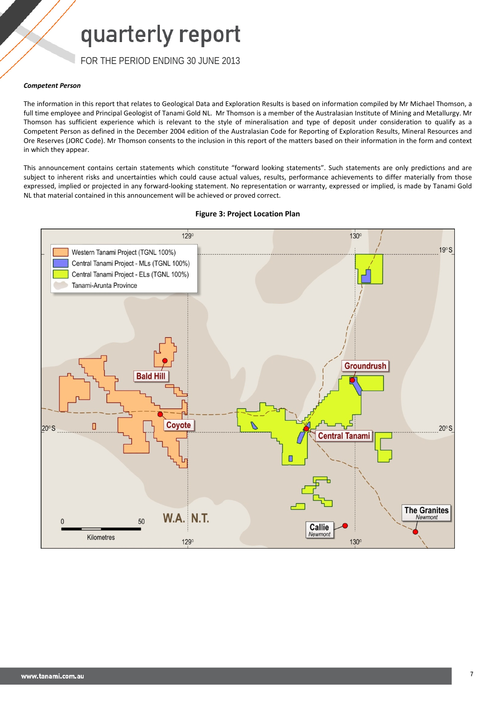FOR THE PERIOD ENDING 30 JUNE 2013

#### *Competent Person*

The information in this report that relates to Geological Data and Exploration Results is based on information compiled by Mr Michael Thomson, a full time employee and Principal Geologist of Tanami Gold NL. Mr Thomson is a member of the Australasian Institute of Mining and Metallurgy. Mr Thomson has sufficient experience which is relevant to the style of mineralisation and type of deposit under consideration to qualify as a Competent Person as defined in the December 2004 edition of the Australasian Code for Reporting of Exploration Results, Mineral Resources and Ore Reserves (JORC Code). Mr Thomson consents to the inclusion in this report of the matters based on their information in the form and context in which they appear.

This announcement contains certain statements which constitute "forward looking statements". Such statements are only predictions and are subject to inherent risks and uncertainties which could cause actual values, results, performance achievements to differ materially from those expressed, implied or projected in any forward-looking statement. No representation or warranty, expressed or implied, is made by Tanami Gold NL that material contained in this announcement will be achieved or proved correct.



#### **Figure 3: Project Location Plan**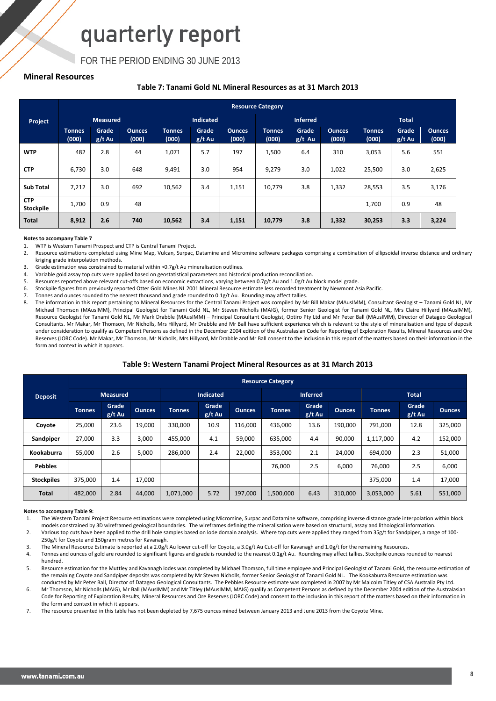FOR THE PERIOD ENDING 30 JUNE 2013

#### **Mineral Resources**

#### **Table 7: Tanami Gold NL Mineral Resources as at 31 March 2013**

| <b>Resource Category</b> |                        |                   |                        |                        |                        |                        |                 |                   |                        |                        |                 |                        |
|--------------------------|------------------------|-------------------|------------------------|------------------------|------------------------|------------------------|-----------------|-------------------|------------------------|------------------------|-----------------|------------------------|
| Project                  |                        | <b>Measured</b>   |                        |                        | <b>Indicated</b>       |                        |                 | <b>Inferred</b>   |                        |                        | <b>Total</b>    |                        |
|                          | <b>Tonnes</b><br>(000) | Grade<br>$g/t$ Au | <b>Qunces</b><br>(000) | <b>Tonnes</b><br>(000) | <b>Grade</b><br>g/t Au | <b>Ounces</b><br>(000) | Tonnes<br>(000) | Grade<br>$g/t$ Au | <b>Ounces</b><br>(000) | <b>Tonnes</b><br>(000) | Grade<br>g/t Au | <b>Ounces</b><br>(000) |
| <b>WTP</b>               | 482                    | 2.8               | 44                     | 1,071                  | 5.7                    | 197                    | 1,500           | 6.4               | 310                    | 3,053                  | 5.6             | 551                    |
| <b>CTP</b>               | 6,730                  | 3.0               | 648                    | 9,491                  | 3.0                    | 954                    | 9,279           | 3.0               | 1,022                  | 25,500                 | 3.0             | 2,625                  |
| <b>Sub Total</b>         | 7,212                  | 3.0               | 692                    | 10,562                 | 3.4                    | 1,151                  | 10,779          | 3.8               | 1,332                  | 28,553                 | 3.5             | 3,176                  |
| <b>CTP</b><br>Stockpile  | 1,700                  | 0.9               | 48                     |                        |                        |                        |                 |                   |                        | 1,700                  | 0.9             | 48                     |
| <b>Total</b>             | 8,912                  | 2.6               | 740                    | 10,562                 | 3.4                    | 1,151                  | 10,779          | 3.8               | 1,332                  | 30,253                 | 3.3             | 3,224                  |

#### **Notes to accompany Table 7**

1. WTP is Western Tanami Prospect and CTP is Central Tanami Project.

2. Resource estimations completed using Mine Map, Vulcan, Surpac, Datamine and Micromine software packages comprising a combination of ellipsoidal inverse distance and ordinary kriging grade interpolation methods.

3. Grade estimation was constrained to material within >0.7g/t Au mineralisation outlines.

4. Variable gold assay top cuts were applied based on geostatistical parameters and historical production reconciliation.

5. Resources reported above relevant cut-offs based on economic extractions, varying between 0.7g/t Au and 1.0g/t Au block model grade.

6. Stockpile figures from previously reported Otter Gold Mines NL 2001 Mineral Resource estimate less recorded treatment by Newmont Asia Pacific.

7. Tonnes and ounces rounded to the nearest thousand and grade rounded to 0.1g/t Au. Rounding may affect tallies.

8. The information in this report pertaining to Mineral Resources for the Central Tanami Project was compiled by Mr Bill Makar (MAusIMM), Consultant Geologist – Tanami Gold NL, Mr Michael Thomson (MAusIMM), Principal Geologist for Tanami Gold NL, Mr Steven Nicholls (MAIG), former Senior Geologist for Tanami Gold NL, Mrs Claire Hillyard (MAusIMM), Resource Geologist for Tanami Gold NL, Mr Mark Drabble (MAusIMM) – Principal Consultant Geologist, Optiro Pty Ltd and Mr Peter Ball (MAusIMM), Director of Datageo Geological Consultants. Mr Makar, Mr Thomson, Mr Nicholls, Mrs Hillyard, Mr Drabble and Mr Ball have sufficient experience which is relevant to the style of mineralisation and type of deposit under consideration to qualify as Competent Persons as defined in the December 2004 edition of the Australasian Code for Reporting of Exploration Results, Mineral Resources and Ore Reserves (JORC Code). Mr Makar, Mr Thomson, Mr Nicholls, Mrs Hillyard, Mr Drabble and Mr Ball consent to the inclusion in this report of the matters based on their information in the form and context in which it appears.

#### **Table 9: Western Tanami Project Mineral Resources as at 31 March 2013**

|                   | <b>Resource Category</b> |                   |               |                  |                   |               |                 |                 |               |               |                   |               |  |
|-------------------|--------------------------|-------------------|---------------|------------------|-------------------|---------------|-----------------|-----------------|---------------|---------------|-------------------|---------------|--|
| <b>Deposit</b>    | <b>Measured</b>          |                   |               | <b>Indicated</b> |                   |               | <b>Inferred</b> |                 |               | <b>Total</b>  |                   |               |  |
|                   | <b>Tonnes</b>            | Grade<br>$g/t$ Au | <b>Ounces</b> | <b>Tonnes</b>    | Grade<br>$g/t$ Au | <b>Ounces</b> | <b>Tonnes</b>   | Grade<br>g/t Au | <b>Ounces</b> | <b>Tonnes</b> | Grade<br>$g/t$ Au | <b>Ounces</b> |  |
| Coyote            | 25,000                   | 23.6              | 19,000        | 330,000          | 10.9              | 116,000       | 436,000         | 13.6            | 190,000       | 791,000       | 12.8              | 325,000       |  |
| Sandpiper         | 27.000                   | 3.3               | 3,000         | 455.000          | 4.1               | 59,000        | 635,000         | 4.4             | 90.000        | 1,117,000     | 4.2               | 152,000       |  |
| Kookaburra        | 55,000                   | 2.6               | 5,000         | 286,000          | 2.4               | 22,000        | 353,000         | 2.1             | 24,000        | 694,000       | 2.3               | 51,000        |  |
| <b>Pebbles</b>    |                          |                   |               |                  |                   |               | 76,000          | 2.5             | 6,000         | 76,000        | 2.5               | 6,000         |  |
| <b>Stockpiles</b> | 375,000                  | 1.4               | 17,000        |                  |                   |               |                 |                 |               | 375,000       | 1.4               | 17,000        |  |
| <b>Total</b>      | 482,000                  | 2.84              | 44,000        | 1,071,000        | 5.72              | 197,000       | 1,500,000       | 6.43            | 310,000       | 3,053,000     | 5.61              | 551,000       |  |

#### **Notes to accompany Table 9:**

1. The Western Tanami Project Resource estimations were completed using Micromine, Surpac and Datamine software, comprising inverse distance grade interpolation within block models constrained by 3D wireframed geological boundaries. The wireframes defining the mineralisation were based on structural, assay and lithological information.

2. Various top cuts have been applied to the drill hole samples based on lode domain analysis. Where top cuts were applied they ranged from 35g/t for Sandpiper, a range of 100- 250g/t for Coyote and 150gram metres for Kavanagh.

3. The Mineral Resource Estimate is reported at a 2.0g/t Au lower cut-off for Coyote, a 3.0g/t Au Cut-off for Kavanagh and 1.0g/t for the remaining Resources.

4. Tonnes and ounces of gold are rounded to significant figures and grade is rounded to the nearest 0.1g/t Au. Rounding may affect tallies. Stockpile ounces rounded to nearest hundred.

5. Resource estimation for the Muttley and Kavanagh lodes was completed by Michael Thomson, full time employee and Principal Geologist of Tanami Gold, the resource estimation of the remaining Coyote and Sandpiper deposits was completed by Mr Steven Nicholls, former Senior Geologist of Tanami Gold NL. The Kookaburra Resource estimation was conducted by Mr Peter Ball, Director of Datageo Geological Consultants. The Pebbles Resource estimate was completed in 2007 by Mr Malcolm Titley of CSA Australia Pty Ltd.

6. Mr Thomson, Mr Nicholls (MAIG), Mr Ball (MAusIMM) and Mr Titley (MAusIMM, MAIG) qualify as Competent Persons as defined by the December 2004 edition of the Australasian Code for Reporting of Exploration Results, Mineral Resources and Ore Reserves (JORC Code) and consent to the inclusion in this report of the matters based on their information in the form and context in which it appears.

7. The resource presented in this table has not been depleted by 7,675 ounces mined between January 2013 and June 2013 from the Coyote Mine.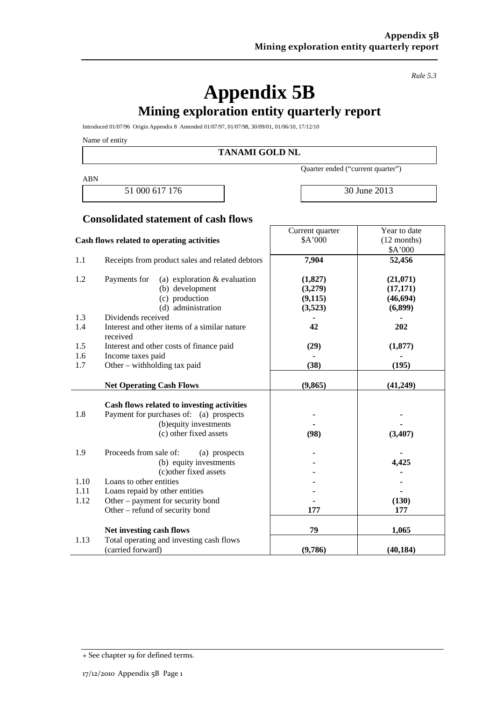*Rule 5.3*

## **Appendix 5B Mining exploration entity quarterly report**

Introduced 01/07/96 Origin Appendix 8 Amended 01/07/97, 01/07/98, 30/09/01, 01/06/10, 17/12/10

Name of entity

#### **TANAMI GOLD NL**

ABN

51 000 617 176 30 June 2013

Quarter ended ("current quarter")

Current quarter

Year to date

## **Consolidated statement of cash flows**

|      | Cash flows related to operating activities               | \$A'000  | $(12$ months)     |
|------|----------------------------------------------------------|----------|-------------------|
| 1.1  | Receipts from product sales and related debtors          | 7,904    | \$A'000<br>52,456 |
|      |                                                          |          |                   |
| 1.2  | (a) exploration $&$ evaluation<br>Payments for           | (1,827)  | (21,071)          |
|      | (b) development                                          | (3,279)  | (17, 171)         |
|      | (c) production                                           | (9, 115) | (46, 694)         |
|      | (d) administration                                       | (3,523)  | (6,899)           |
| 1.3  | Dividends received                                       |          |                   |
| 1.4  | Interest and other items of a similar nature<br>received | 42       | 202               |
| 1.5  | Interest and other costs of finance paid                 | (29)     | (1, 877)          |
| 1.6  | Income taxes paid                                        |          |                   |
| 1.7  | Other – withholding tax paid                             | (38)     | (195)             |
|      | <b>Net Operating Cash Flows</b>                          | (9, 865) | (41, 249)         |
|      |                                                          |          |                   |
|      | Cash flows related to investing activities               |          |                   |
| 1.8  | Payment for purchases of: (a) prospects                  |          |                   |
|      | (b) equity investments                                   |          |                   |
|      | (c) other fixed assets                                   | (98)     | (3,407)           |
| 1.9  | Proceeds from sale of:<br>(a) prospects                  |          |                   |
|      | (b) equity investments                                   |          | 4,425             |
|      | (c)other fixed assets                                    |          |                   |
| 1.10 | Loans to other entities                                  |          |                   |
| 1.11 | Loans repaid by other entities                           |          |                   |
| 1.12 | Other – payment for security bond                        |          | (130)             |
|      | Other – refund of security bond                          | 177      | 177               |
|      | Net investing cash flows                                 | 79       | 1,065             |
| 1.13 | Total operating and investing cash flows                 |          |                   |
|      | (carried forward)                                        | (9,786)  | (40, 184)         |

<sup>+</sup> See chapter 19 for defined terms.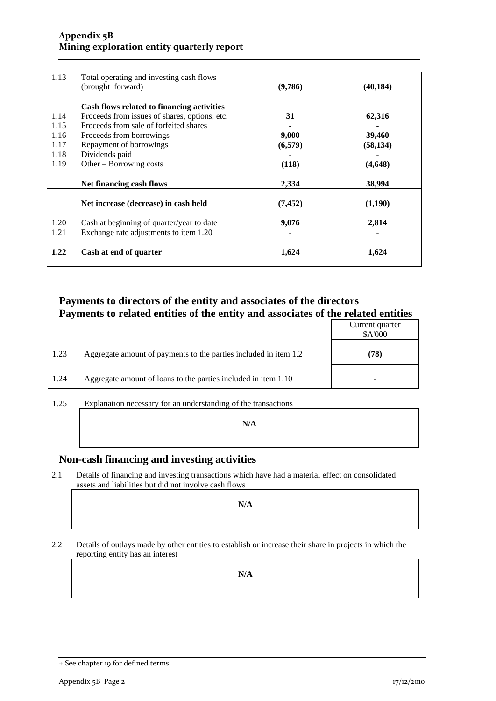### **Appendix 5B Mining exploration entity quarterly report**

| 1.13 | Total operating and investing cash flows      |          |           |
|------|-----------------------------------------------|----------|-----------|
|      | (brought forward)                             | (9,786)  | (40, 184) |
|      |                                               |          |           |
|      | Cash flows related to financing activities    |          |           |
| 1.14 | Proceeds from issues of shares, options, etc. | 31       | 62,316    |
| 1.15 | Proceeds from sale of forfeited shares        |          |           |
| 1.16 | Proceeds from borrowings                      | 9,000    | 39,460    |
| 1.17 | Repayment of borrowings                       | (6,579)  | (58, 134) |
| 1.18 | Dividends paid                                |          |           |
| 1.19 | Other – Borrowing costs                       | (118)    | (4, 648)  |
|      |                                               |          |           |
|      | Net financing cash flows                      | 2,334    | 38,994    |
|      | Net increase (decrease) in cash held          | (7, 452) | (1,190)   |
| 1.20 | Cash at beginning of quarter/year to date     | 9,076    | 2,814     |
| 1.21 | Exchange rate adjustments to item 1.20        |          |           |
| 1.22 | Cash at end of quarter                        | 1,624    | 1,624     |

### **Payments to directors of the entity and associates of the directors Payments to related entities of the entity and associates of the related entities**

| 1.23<br>Aggregate amount of payments to the parties included in item 1.2 |      |
|--------------------------------------------------------------------------|------|
|                                                                          | (78) |
| 1.24<br>Aggregate amount of loans to the parties included in item 1.10   |      |

1.25 Explanation necessary for an understanding of the transactions

**N/A**

### **Non-cash financing and investing activities**

2.1 Details of financing and investing transactions which have had a material effect on consolidated assets and liabilities but did not involve cash flows

**N/A**

2.2 Details of outlays made by other entities to establish or increase their share in projects in which the reporting entity has an interest

**N/A**

<sup>+</sup> See chapter 19 for defined terms.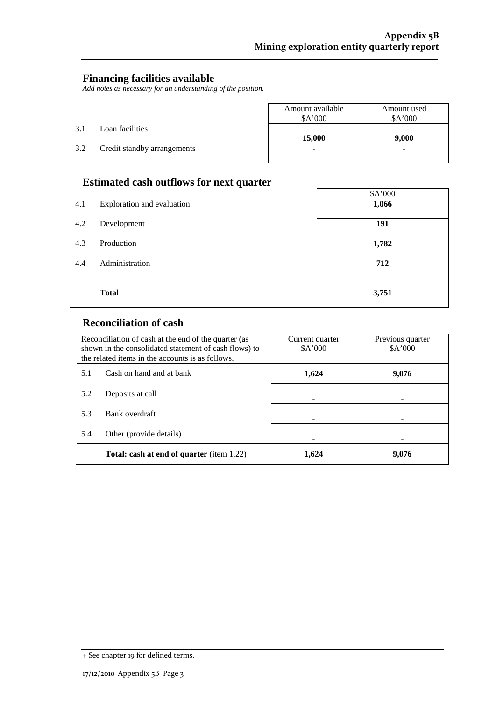٦

 $\mathbf{r}$ 

### **Financing facilities available**

*Add notes as necessary for an understanding of the position.*

|     |                             | Amount available<br>\$A'000 | Amount used<br>\$A'000 |
|-----|-----------------------------|-----------------------------|------------------------|
| 3.1 | Loan facilities             | 15,000                      | 9.000                  |
| 3.2 | Credit standby arrangements | $\blacksquare$              |                        |

## **Estimated cash outflows for next quarter**

|     | -                          | \$A'000 |
|-----|----------------------------|---------|
| 4.1 | Exploration and evaluation | 1,066   |
| 4.2 | Development                | 191     |
| 4.3 | Production                 | 1,782   |
| 4.4 | Administration             | 712     |
|     | <b>Total</b>               | 3,751   |

## **Reconciliation of cash**

|     | Reconciliation of cash at the end of the quarter (as<br>shown in the consolidated statement of cash flows) to<br>the related items in the accounts is as follows. | Current quarter<br>A'000 | Previous quarter<br>A'000 |
|-----|-------------------------------------------------------------------------------------------------------------------------------------------------------------------|--------------------------|---------------------------|
| 5.1 | Cash on hand and at bank                                                                                                                                          | 1,624                    | 9,076                     |
| 5.2 | Deposits at call                                                                                                                                                  |                          |                           |
| 5.3 | Bank overdraft                                                                                                                                                    |                          |                           |
| 5.4 | Other (provide details)                                                                                                                                           |                          |                           |
|     | <b>Total: cash at end of quarter</b> (item 1.22)                                                                                                                  | 1.624                    | 9,076                     |

<sup>+</sup> See chapter 19 for defined terms.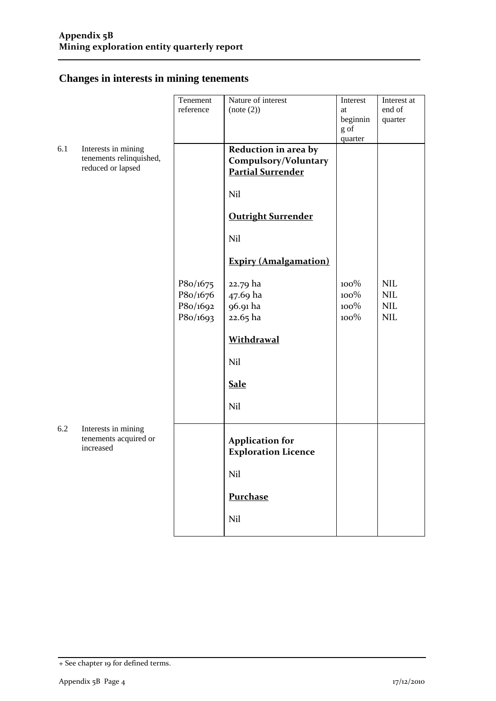## **Changes in interests in mining tenements**

| reference<br>end of<br>(note (2))<br>at<br>beginnin<br>quarter<br>g of<br>quarter<br>Reduction in area by<br>6.1<br>Interests in mining<br>tenements relinquished,<br>Compulsory/Voluntary<br>reduced or lapsed<br><b>Partial Surrender</b><br>Nil<br><b>Outright Surrender</b><br>Nil<br><b>Expiry (Amalgamation)</b> | Interest at |
|------------------------------------------------------------------------------------------------------------------------------------------------------------------------------------------------------------------------------------------------------------------------------------------------------------------------|-------------|
|                                                                                                                                                                                                                                                                                                                        |             |
|                                                                                                                                                                                                                                                                                                                        |             |
|                                                                                                                                                                                                                                                                                                                        |             |
|                                                                                                                                                                                                                                                                                                                        |             |
|                                                                                                                                                                                                                                                                                                                        |             |
|                                                                                                                                                                                                                                                                                                                        |             |
|                                                                                                                                                                                                                                                                                                                        |             |
|                                                                                                                                                                                                                                                                                                                        |             |
|                                                                                                                                                                                                                                                                                                                        |             |
|                                                                                                                                                                                                                                                                                                                        |             |
| <b>NIL</b><br>P8o/1675<br>$100\%$<br>22.79 ha                                                                                                                                                                                                                                                                          |             |
| 100%<br>$\text{NIL}$<br>P8o/1676<br>47.69 ha                                                                                                                                                                                                                                                                           |             |
| P8o/1692<br>100%<br><b>NIL</b><br>96.91 ha                                                                                                                                                                                                                                                                             |             |
| $100\%$<br><b>NIL</b><br>P8o/1693<br>22.65 ha                                                                                                                                                                                                                                                                          |             |
| <b>Withdrawal</b>                                                                                                                                                                                                                                                                                                      |             |
| Nil                                                                                                                                                                                                                                                                                                                    |             |
| <b>Sale</b>                                                                                                                                                                                                                                                                                                            |             |
| Nil                                                                                                                                                                                                                                                                                                                    |             |
| 6.2<br>Interests in mining<br>tenements acquired or<br><b>Application for</b><br>increased<br><b>Exploration Licence</b>                                                                                                                                                                                               |             |
| Nil                                                                                                                                                                                                                                                                                                                    |             |
| Purchase                                                                                                                                                                                                                                                                                                               |             |
| Nil                                                                                                                                                                                                                                                                                                                    |             |

<sup>+</sup> See chapter 19 for defined terms.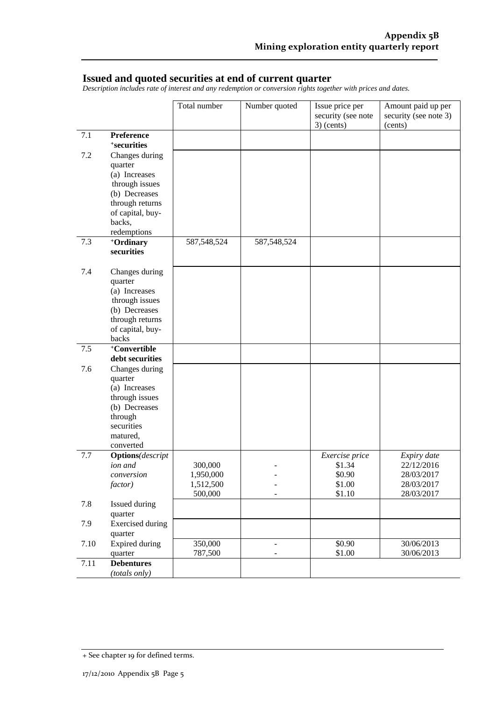### **Issued and quoted securities at end of current quarter**

*Description includes rate of interest and any redemption or conversion rights together with prices and dates.*

|      |                           | Total number         | Number quoted            | Issue price per<br>security (see note<br>$3)$ (cents) | Amount paid up per<br>security (see note 3)<br>(cents) |
|------|---------------------------|----------------------|--------------------------|-------------------------------------------------------|--------------------------------------------------------|
| 7.1  | Preference                |                      |                          |                                                       |                                                        |
|      | <sup>+</sup> securities   |                      |                          |                                                       |                                                        |
| 7.2  | Changes during            |                      |                          |                                                       |                                                        |
|      | quarter                   |                      |                          |                                                       |                                                        |
|      | (a) Increases             |                      |                          |                                                       |                                                        |
|      | through issues            |                      |                          |                                                       |                                                        |
|      | (b) Decreases             |                      |                          |                                                       |                                                        |
|      | through returns           |                      |                          |                                                       |                                                        |
|      | of capital, buy-          |                      |                          |                                                       |                                                        |
|      | backs,                    |                      |                          |                                                       |                                                        |
| 7.3  | redemptions               | 587,548,524          | 587, 548, 524            |                                                       |                                                        |
|      | +Ordinary<br>securities   |                      |                          |                                                       |                                                        |
|      |                           |                      |                          |                                                       |                                                        |
| 7.4  | Changes during            |                      |                          |                                                       |                                                        |
|      | quarter                   |                      |                          |                                                       |                                                        |
|      | (a) Increases             |                      |                          |                                                       |                                                        |
|      | through issues            |                      |                          |                                                       |                                                        |
|      | (b) Decreases             |                      |                          |                                                       |                                                        |
|      | through returns           |                      |                          |                                                       |                                                        |
|      | of capital, buy-          |                      |                          |                                                       |                                                        |
|      | backs                     |                      |                          |                                                       |                                                        |
| 7.5  | +Convertible              |                      |                          |                                                       |                                                        |
| 7.6  | debt securities           |                      |                          |                                                       |                                                        |
|      | Changes during<br>quarter |                      |                          |                                                       |                                                        |
|      | (a) Increases             |                      |                          |                                                       |                                                        |
|      | through issues            |                      |                          |                                                       |                                                        |
|      | (b) Decreases             |                      |                          |                                                       |                                                        |
|      | through                   |                      |                          |                                                       |                                                        |
|      | securities                |                      |                          |                                                       |                                                        |
|      | matured,                  |                      |                          |                                                       |                                                        |
|      | converted                 |                      |                          |                                                       |                                                        |
| 7.7  | <b>Options</b> (descript  |                      |                          | Exercise price                                        | Expiry date                                            |
|      | ion and                   | 300,000              |                          | \$1.34                                                | 22/12/2016                                             |
|      | conversion                | 1,950,000            |                          | \$0.90                                                | 28/03/2017                                             |
|      | factor)                   | 1,512,500<br>500,000 | -                        | \$1.00<br>\$1.10                                      | 28/03/2017<br>28/03/2017                               |
| 7.8  | Issued during             |                      |                          |                                                       |                                                        |
|      | quarter                   |                      |                          |                                                       |                                                        |
| 7.9  | <b>Exercised</b> during   |                      |                          |                                                       |                                                        |
|      | quarter                   |                      |                          |                                                       |                                                        |
| 7.10 | <b>Expired during</b>     | 350,000              | $\overline{\phantom{0}}$ | \$0.90                                                | 30/06/2013                                             |
|      | quarter                   | 787,500              | -                        | \$1.00                                                | 30/06/2013                                             |
| 7.11 | <b>Debentures</b>         |                      |                          |                                                       |                                                        |
|      | (totals only)             |                      |                          |                                                       |                                                        |

<sup>+</sup> See chapter 19 for defined terms.